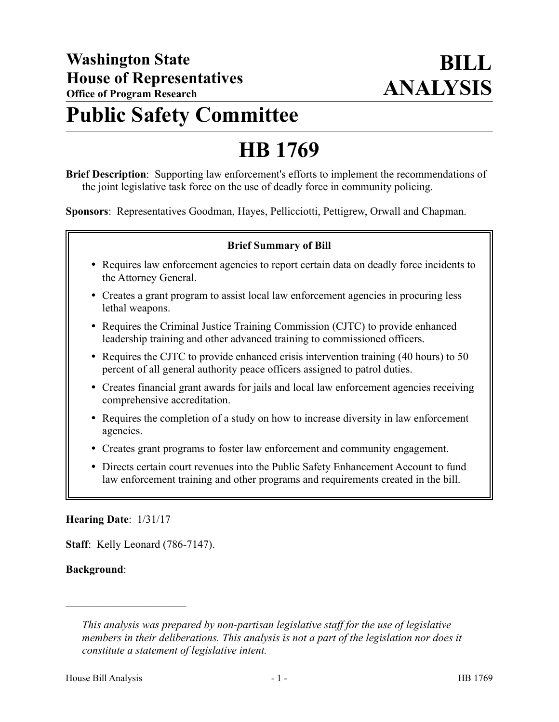# **Public Safety Committee**

# **HB 1769**

**Brief Description**: Supporting law enforcement's efforts to implement the recommendations of the joint legislative task force on the use of deadly force in community policing.

**Sponsors**: Representatives Goodman, Hayes, Pellicciotti, Pettigrew, Orwall and Chapman.

#### **Brief Summary of Bill**

- Requires law enforcement agencies to report certain data on deadly force incidents to the Attorney General.
- Creates a grant program to assist local law enforcement agencies in procuring less lethal weapons.
- Requires the Criminal Justice Training Commission (CJTC) to provide enhanced leadership training and other advanced training to commissioned officers.
- Requires the CJTC to provide enhanced crisis intervention training (40 hours) to 50 percent of all general authority peace officers assigned to patrol duties.
- Creates financial grant awards for jails and local law enforcement agencies receiving comprehensive accreditation.
- Requires the completion of a study on how to increase diversity in law enforcement agencies.
- Creates grant programs to foster law enforcement and community engagement.
- Directs certain court revenues into the Public Safety Enhancement Account to fund law enforcement training and other programs and requirements created in the bill.

#### **Hearing Date**: 1/31/17

––––––––––––––––––––––

**Staff**: Kelly Leonard (786-7147).

## **Background**:

*This analysis was prepared by non-partisan legislative staff for the use of legislative members in their deliberations. This analysis is not a part of the legislation nor does it constitute a statement of legislative intent.*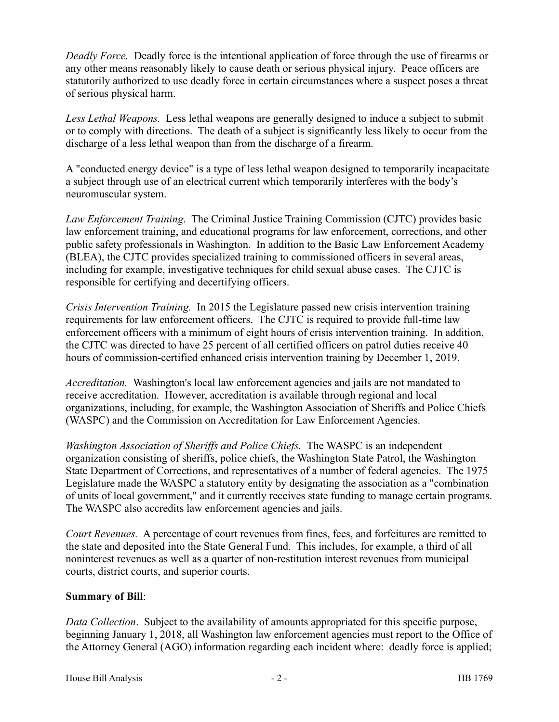*Deadly Force.* Deadly force is the intentional application of force through the use of firearms or any other means reasonably likely to cause death or serious physical injury. Peace officers are statutorily authorized to use deadly force in certain circumstances where a suspect poses a threat of serious physical harm.

*Less Lethal Weapons.* Less lethal weapons are generally designed to induce a subject to submit or to comply with directions. The death of a subject is significantly less likely to occur from the discharge of a less lethal weapon than from the discharge of a firearm.

A "conducted energy device" is a type of less lethal weapon designed to temporarily incapacitate a subject through use of an electrical current which temporarily interferes with the body's neuromuscular system.

*Law Enforcement Training*. The Criminal Justice Training Commission (CJTC) provides basic law enforcement training, and educational programs for law enforcement, corrections, and other public safety professionals in Washington. In addition to the Basic Law Enforcement Academy (BLEA), the CJTC provides specialized training to commissioned officers in several areas, including for example, investigative techniques for child sexual abuse cases. The CJTC is responsible for certifying and decertifying officers.

*Crisis Intervention Training.* In 2015 the Legislature passed new crisis intervention training requirements for law enforcement officers. The CJTC is required to provide full-time law enforcement officers with a minimum of eight hours of crisis intervention training. In addition, the CJTC was directed to have 25 percent of all certified officers on patrol duties receive 40 hours of commission-certified enhanced crisis intervention training by December 1, 2019.

*Accreditation.* Washington's local law enforcement agencies and jails are not mandated to receive accreditation. However, accreditation is available through regional and local organizations, including, for example, the Washington Association of Sheriffs and Police Chiefs (WASPC) and the Commission on Accreditation for Law Enforcement Agencies.

*Washington Association of Sheriffs and Police Chiefs.* The WASPC is an independent organization consisting of sheriffs, police chiefs, the Washington State Patrol, the Washington State Department of Corrections, and representatives of a number of federal agencies. The 1975 Legislature made the WASPC a statutory entity by designating the association as a "combination of units of local government," and it currently receives state funding to manage certain programs. The WASPC also accredits law enforcement agencies and jails.

*Court Revenues.* A percentage of court revenues from fines, fees, and forfeitures are remitted to the state and deposited into the State General Fund. This includes, for example, a third of all noninterest revenues as well as a quarter of non-restitution interest revenues from municipal courts, district courts, and superior courts.

## **Summary of Bill**:

*Data Collection*. Subject to the availability of amounts appropriated for this specific purpose, beginning January 1, 2018, all Washington law enforcement agencies must report to the Office of the Attorney General (AGO) information regarding each incident where: deadly force is applied;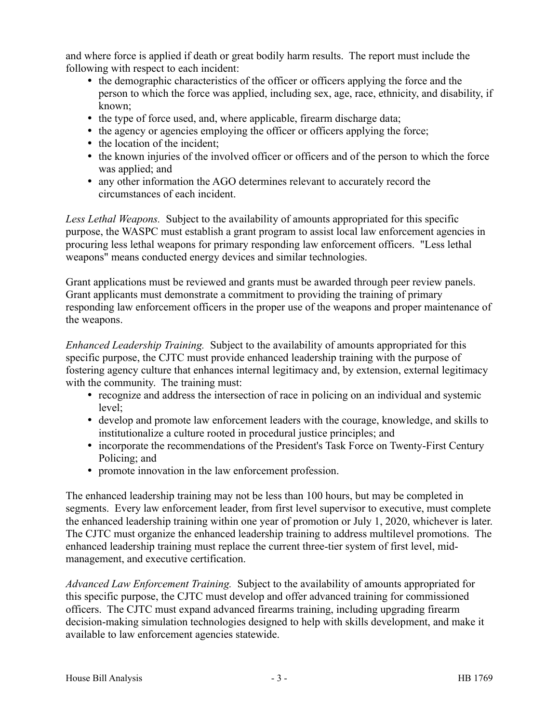and where force is applied if death or great bodily harm results. The report must include the following with respect to each incident:

- the demographic characteristics of the officer or officers applying the force and the person to which the force was applied, including sex, age, race, ethnicity, and disability, if known;
- the type of force used, and, where applicable, firearm discharge data;
- the agency or agencies employing the officer or officers applying the force;
- the location of the incident;
- the known injuries of the involved officer or officers and of the person to which the force was applied; and
- any other information the AGO determines relevant to accurately record the circumstances of each incident.

*Less Lethal Weapons.* Subject to the availability of amounts appropriated for this specific purpose, the WASPC must establish a grant program to assist local law enforcement agencies in procuring less lethal weapons for primary responding law enforcement officers. "Less lethal weapons" means conducted energy devices and similar technologies.

Grant applications must be reviewed and grants must be awarded through peer review panels. Grant applicants must demonstrate a commitment to providing the training of primary responding law enforcement officers in the proper use of the weapons and proper maintenance of the weapons.

*Enhanced Leadership Training.* Subject to the availability of amounts appropriated for this specific purpose, the CJTC must provide enhanced leadership training with the purpose of fostering agency culture that enhances internal legitimacy and, by extension, external legitimacy with the community. The training must:

- recognize and address the intersection of race in policing on an individual and systemic level;
- develop and promote law enforcement leaders with the courage, knowledge, and skills to institutionalize a culture rooted in procedural justice principles; and
- incorporate the recommendations of the President's Task Force on Twenty-First Century Policing; and
- promote innovation in the law enforcement profession.

The enhanced leadership training may not be less than 100 hours, but may be completed in segments. Every law enforcement leader, from first level supervisor to executive, must complete the enhanced leadership training within one year of promotion or July 1, 2020, whichever is later. The CJTC must organize the enhanced leadership training to address multilevel promotions. The enhanced leadership training must replace the current three-tier system of first level, midmanagement, and executive certification.

*Advanced Law Enforcement Training.* Subject to the availability of amounts appropriated for this specific purpose, the CJTC must develop and offer advanced training for commissioned officers. The CJTC must expand advanced firearms training, including upgrading firearm decision-making simulation technologies designed to help with skills development, and make it available to law enforcement agencies statewide.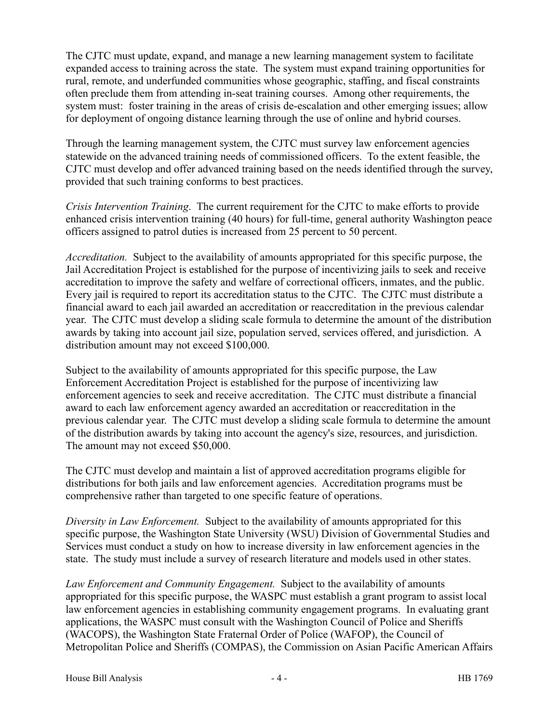The CJTC must update, expand, and manage a new learning management system to facilitate expanded access to training across the state. The system must expand training opportunities for rural, remote, and underfunded communities whose geographic, staffing, and fiscal constraints often preclude them from attending in-seat training courses. Among other requirements, the system must: foster training in the areas of crisis de-escalation and other emerging issues; allow for deployment of ongoing distance learning through the use of online and hybrid courses.

Through the learning management system, the CJTC must survey law enforcement agencies statewide on the advanced training needs of commissioned officers. To the extent feasible, the CJTC must develop and offer advanced training based on the needs identified through the survey, provided that such training conforms to best practices.

*Crisis Intervention Training*. The current requirement for the CJTC to make efforts to provide enhanced crisis intervention training (40 hours) for full-time, general authority Washington peace officers assigned to patrol duties is increased from 25 percent to 50 percent.

*Accreditation.* Subject to the availability of amounts appropriated for this specific purpose, the Jail Accreditation Project is established for the purpose of incentivizing jails to seek and receive accreditation to improve the safety and welfare of correctional officers, inmates, and the public. Every jail is required to report its accreditation status to the CJTC. The CJTC must distribute a financial award to each jail awarded an accreditation or reaccreditation in the previous calendar year. The CJTC must develop a sliding scale formula to determine the amount of the distribution awards by taking into account jail size, population served, services offered, and jurisdiction. A distribution amount may not exceed \$100,000.

Subject to the availability of amounts appropriated for this specific purpose, the Law Enforcement Accreditation Project is established for the purpose of incentivizing law enforcement agencies to seek and receive accreditation. The CJTC must distribute a financial award to each law enforcement agency awarded an accreditation or reaccreditation in the previous calendar year. The CJTC must develop a sliding scale formula to determine the amount of the distribution awards by taking into account the agency's size, resources, and jurisdiction. The amount may not exceed \$50,000.

The CJTC must develop and maintain a list of approved accreditation programs eligible for distributions for both jails and law enforcement agencies. Accreditation programs must be comprehensive rather than targeted to one specific feature of operations.

*Diversity in Law Enforcement.* Subject to the availability of amounts appropriated for this specific purpose, the Washington State University (WSU) Division of Governmental Studies and Services must conduct a study on how to increase diversity in law enforcement agencies in the state. The study must include a survey of research literature and models used in other states.

*Law Enforcement and Community Engagement.* Subject to the availability of amounts appropriated for this specific purpose, the WASPC must establish a grant program to assist local law enforcement agencies in establishing community engagement programs. In evaluating grant applications, the WASPC must consult with the Washington Council of Police and Sheriffs (WACOPS), the Washington State Fraternal Order of Police (WAFOP), the Council of Metropolitan Police and Sheriffs (COMPAS), the Commission on Asian Pacific American Affairs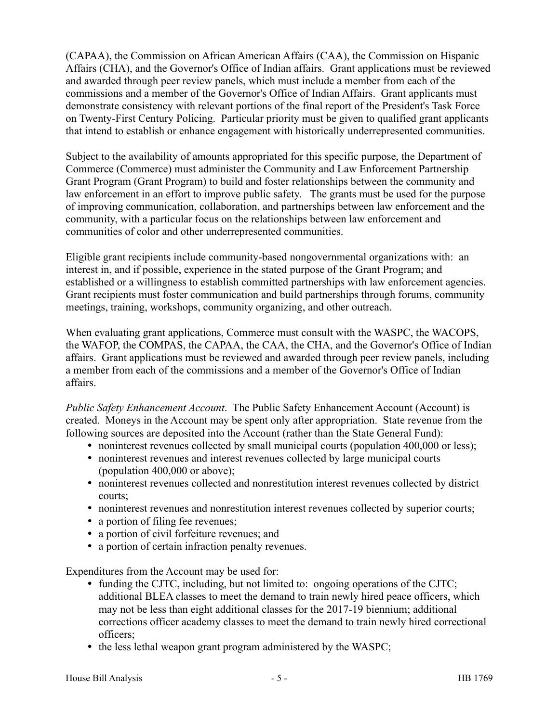(CAPAA), the Commission on African American Affairs (CAA), the Commission on Hispanic Affairs (CHA), and the Governor's Office of Indian affairs. Grant applications must be reviewed and awarded through peer review panels, which must include a member from each of the commissions and a member of the Governor's Office of Indian Affairs. Grant applicants must demonstrate consistency with relevant portions of the final report of the President's Task Force on Twenty-First Century Policing. Particular priority must be given to qualified grant applicants that intend to establish or enhance engagement with historically underrepresented communities.

Subject to the availability of amounts appropriated for this specific purpose, the Department of Commerce (Commerce) must administer the Community and Law Enforcement Partnership Grant Program (Grant Program) to build and foster relationships between the community and law enforcement in an effort to improve public safety. The grants must be used for the purpose of improving communication, collaboration, and partnerships between law enforcement and the community, with a particular focus on the relationships between law enforcement and communities of color and other underrepresented communities.

Eligible grant recipients include community-based nongovernmental organizations with: an interest in, and if possible, experience in the stated purpose of the Grant Program; and established or a willingness to establish committed partnerships with law enforcement agencies. Grant recipients must foster communication and build partnerships through forums, community meetings, training, workshops, community organizing, and other outreach.

When evaluating grant applications, Commerce must consult with the WASPC, the WACOPS, the WAFOP, the COMPAS, the CAPAA, the CAA, the CHA, and the Governor's Office of Indian affairs. Grant applications must be reviewed and awarded through peer review panels, including a member from each of the commissions and a member of the Governor's Office of Indian affairs.

*Public Safety Enhancement Account*. The Public Safety Enhancement Account (Account) is created. Moneys in the Account may be spent only after appropriation. State revenue from the following sources are deposited into the Account (rather than the State General Fund):

- noninterest revenues collected by small municipal courts (population 400,000 or less);
- noninterest revenues and interest revenues collected by large municipal courts (population 400,000 or above);
- noninterest revenues collected and nonrestitution interest revenues collected by district courts;
- noninterest revenues and nonrestitution interest revenues collected by superior courts;
- a portion of filing fee revenues;
- a portion of civil forfeiture revenues; and
- a portion of certain infraction penalty revenues.

Expenditures from the Account may be used for:

- funding the CJTC, including, but not limited to: ongoing operations of the CJTC; additional BLEA classes to meet the demand to train newly hired peace officers, which may not be less than eight additional classes for the 2017-19 biennium; additional corrections officer academy classes to meet the demand to train newly hired correctional officers;
- the less lethal weapon grant program administered by the WASPC;